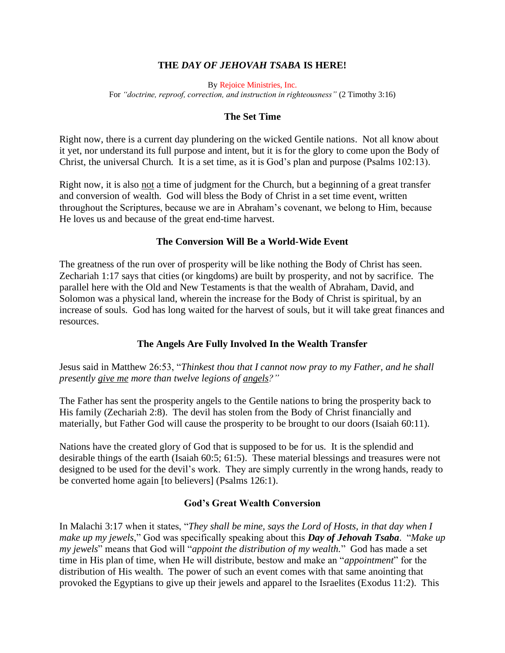## **THE** *DAY OF JEHOVAH TSABA* **IS HERE!**

By Rejoice Ministries, Inc. For *"doctrine, reproof, correction, and instruction in righteousness"* (2 Timothy 3:16)

## **The Set Time**

Right now, there is a current day plundering on the wicked Gentile nations. Not all know about it yet, nor understand its full purpose and intent, but it is for the glory to come upon the Body of Christ, the universal Church. It is a set time, as it is God's plan and purpose (Psalms 102:13).

Right now, it is also not a time of judgment for the Church, but a beginning of a great transfer and conversion of wealth. God will bless the Body of Christ in a set time event, written throughout the Scriptures, because we are in Abraham's covenant, we belong to Him, because He loves us and because of the great end-time harvest.

### **The Conversion Will Be a World-Wide Event**

The greatness of the run over of prosperity will be like nothing the Body of Christ has seen. Zechariah 1:17 says that cities (or kingdoms) are built by prosperity, and not by sacrifice. The parallel here with the Old and New Testaments is that the wealth of Abraham, David, and Solomon was a physical land, wherein the increase for the Body of Christ is spiritual, by an increase of souls. God has long waited for the harvest of souls, but it will take great finances and resources.

# **The Angels Are Fully Involved In the Wealth Transfer**

Jesus said in Matthew 26:53, "*Thinkest thou that I cannot now pray to my Father, and he shall presently give me more than twelve legions of angels?"*

The Father has sent the prosperity angels to the Gentile nations to bring the prosperity back to His family (Zechariah 2:8). The devil has stolen from the Body of Christ financially and materially, but Father God will cause the prosperity to be brought to our doors (Isaiah 60:11).

Nations have the created glory of God that is supposed to be for us. It is the splendid and desirable things of the earth (Isaiah 60:5; 61:5). These material blessings and treasures were not designed to be used for the devil's work. They are simply currently in the wrong hands, ready to be converted home again [to believers] (Psalms 126:1).

# **God's Great Wealth Conversion**

In Malachi 3:17 when it states, "*They shall be mine, says the Lord of Hosts, in that day when I make up my jewels*," God was specifically speaking about this *Day of Jehovah Tsaba*. "*Make up my jewels*" means that God will "*appoint the distribution of my wealth.*" God has made a set time in His plan of time, when He will distribute, bestow and make an "*appointment*" for the distribution of His wealth. The power of such an event comes with that same anointing that provoked the Egyptians to give up their jewels and apparel to the Israelites (Exodus 11:2). This